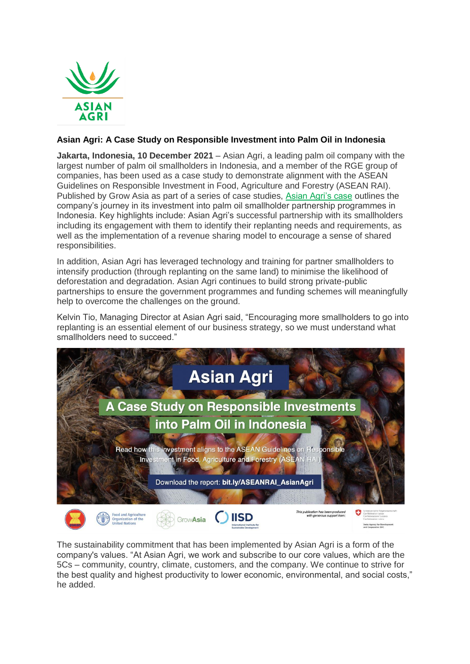

## **Asian Agri: A Case Study on Responsible Investment into Palm Oil in Indonesia**

**Jakarta, Indonesia, 10 December 2021** – Asian Agri, a leading palm oil company with the largest number of palm oil smallholders in Indonesia, and a member of the RGE group of companies, has been used as a case study to demonstrate alignment with the ASEAN Guidelines on Responsible Investment in Food, Agriculture and Forestry (ASEAN RAI). Published by Grow Asia as part of a series of case studies, [Asian Agri's case](http://exchange.growasia.org/asian-agri-case-study-responsible-investment-palm-oil-indonesia) outlines the company's journey in its investment into palm oil smallholder partnership programmes in Indonesia. Key highlights include: Asian Agri's successful partnership with its smallholders including its engagement with them to identify their replanting needs and requirements, as well as the implementation of a revenue sharing model to encourage a sense of shared responsibilities.

In addition, Asian Agri has leveraged technology and training for partner smallholders to intensify production (through replanting on the same land) to minimise the likelihood of deforestation and degradation. Asian Agri continues to build strong private-public partnerships to ensure the government programmes and funding schemes will meaningfully help to overcome the challenges on the ground.

Kelvin Tio, Managing Director at Asian Agri said, "Encouraging more smallholders to go into replanting is an essential element of our business strategy, so we must understand what smallholders need to succeed."



The sustainability commitment that has been implemented by Asian Agri is a form of the company's values. "At Asian Agri, we work and subscribe to our core values, which are the 5Cs – community, country, climate, customers, and the company. We continue to strive for the best quality and highest productivity to lower economic, environmental, and social costs," he added.